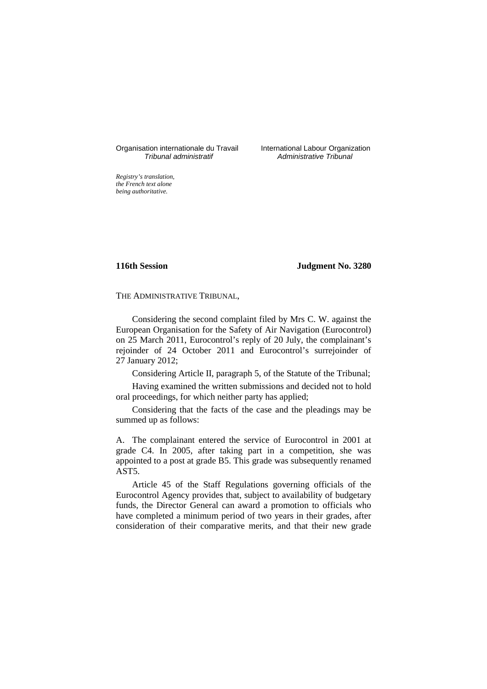Organisation internationale du Travail International Labour Organization<br>*Tribunal administratif* Administrative Tribunal

Administrative Tribunal

*Registry's translation, the French text alone being authoritative.*

**116th Session Judgment No. 3280**

THE ADMINISTRATIVE TRIBUNAL,

Considering the second complaint filed by Mrs C. W. against the European Organisation for the Safety of Air Navigation (Eurocontrol) on 25 March 2011, Eurocontrol's reply of 20 July, the complainant's rejoinder of 24 October 2011 and Eurocontrol's surrejoinder of 27 January 2012;

Considering Article II, paragraph 5, of the Statute of the Tribunal;

Having examined the written submissions and decided not to hold oral proceedings, for which neither party has applied;

Considering that the facts of the case and the pleadings may be summed up as follows:

A. The complainant entered the service of Eurocontrol in 2001 at grade C4. In 2005, after taking part in a competition, she was appointed to a post at grade B5. This grade was subsequently renamed AST5.

Article 45 of the Staff Regulations governing officials of the Eurocontrol Agency provides that, subject to availability of budgetary funds, the Director General can award a promotion to officials who have completed a minimum period of two years in their grades, after consideration of their comparative merits, and that their new grade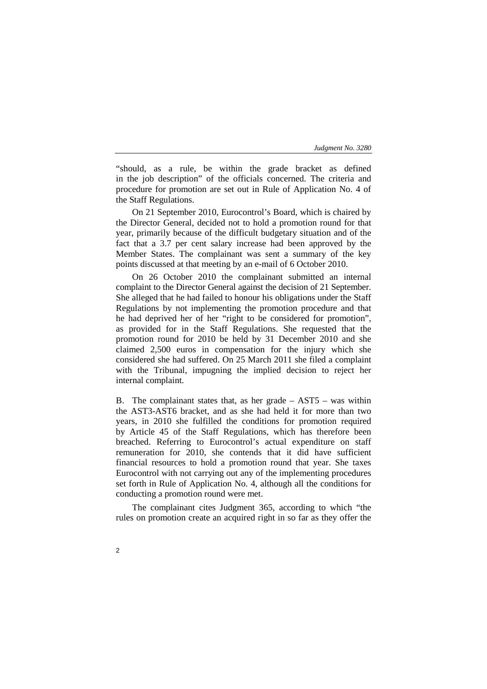"should, as a rule, be within the grade bracket as defined in the job description" of the officials concerned. The criteria and procedure for promotion are set out in Rule of Application No. 4 of the Staff Regulations.

On 21 September 2010, Eurocontrol's Board, which is chaired by the Director General, decided not to hold a promotion round for that year, primarily because of the difficult budgetary situation and of the fact that a 3.7 per cent salary increase had been approved by the Member States. The complainant was sent a summary of the key points discussed at that meeting by an e-mail of 6 October 2010.

On 26 October 2010 the complainant submitted an internal complaint to the Director General against the decision of 21 September. She alleged that he had failed to honour his obligations under the Staff Regulations by not implementing the promotion procedure and that he had deprived her of her "right to be considered for promotion", as provided for in the Staff Regulations. She requested that the promotion round for 2010 be held by 31 December 2010 and she claimed 2,500 euros in compensation for the injury which she considered she had suffered. On 25 March 2011 she filed a complaint with the Tribunal, impugning the implied decision to reject her internal complaint.

B. The complainant states that, as her grade – AST5 – was within the AST3-AST6 bracket, and as she had held it for more than two years, in 2010 she fulfilled the conditions for promotion required by Article 45 of the Staff Regulations, which has therefore been breached. Referring to Eurocontrol's actual expenditure on staff remuneration for 2010, she contends that it did have sufficient financial resources to hold a promotion round that year. She taxes Eurocontrol with not carrying out any of the implementing procedures set forth in Rule of Application No. 4, although all the conditions for conducting a promotion round were met.

The complainant cites Judgment 365, according to which "the rules on promotion create an acquired right in so far as they offer the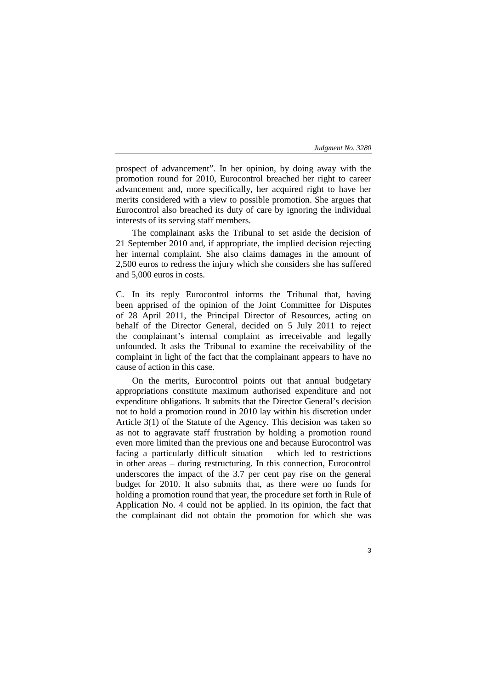prospect of advancement". In her opinion, by doing away with the promotion round for 2010, Eurocontrol breached her right to career advancement and, more specifically, her acquired right to have her merits considered with a view to possible promotion. She argues that Eurocontrol also breached its duty of care by ignoring the individual interests of its serving staff members.

The complainant asks the Tribunal to set aside the decision of 21 September 2010 and, if appropriate, the implied decision rejecting her internal complaint. She also claims damages in the amount of 2,500 euros to redress the injury which she considers she has suffered and 5,000 euros in costs.

C. In its reply Eurocontrol informs the Tribunal that, having been apprised of the opinion of the Joint Committee for Disputes of 28 April 2011, the Principal Director of Resources, acting on behalf of the Director General, decided on 5 July 2011 to reject the complainant's internal complaint as irreceivable and legally unfounded. It asks the Tribunal to examine the receivability of the complaint in light of the fact that the complainant appears to have no cause of action in this case.

On the merits, Eurocontrol points out that annual budgetary appropriations constitute maximum authorised expenditure and not expenditure obligations. It submits that the Director General's decision not to hold a promotion round in 2010 lay within his discretion under Article 3(1) of the Statute of the Agency. This decision was taken so as not to aggravate staff frustration by holding a promotion round even more limited than the previous one and because Eurocontrol was facing a particularly difficult situation – which led to restrictions in other areas – during restructuring. In this connection, Eurocontrol underscores the impact of the 3.7 per cent pay rise on the general budget for 2010. It also submits that, as there were no funds for holding a promotion round that year, the procedure set forth in Rule of Application No. 4 could not be applied. In its opinion, the fact that the complainant did not obtain the promotion for which she was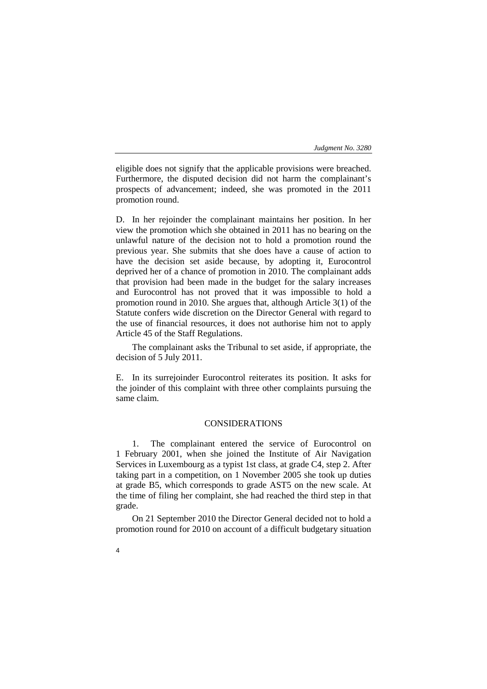eligible does not signify that the applicable provisions were breached. Furthermore, the disputed decision did not harm the complainant's prospects of advancement; indeed, she was promoted in the 2011 promotion round.

D. In her rejoinder the complainant maintains her position. In her view the promotion which she obtained in 2011 has no bearing on the unlawful nature of the decision not to hold a promotion round the previous year. She submits that she does have a cause of action to have the decision set aside because, by adopting it, Eurocontrol deprived her of a chance of promotion in 2010. The complainant adds that provision had been made in the budget for the salary increases and Eurocontrol has not proved that it was impossible to hold a promotion round in 2010. She argues that, although Article 3(1) of the Statute confers wide discretion on the Director General with regard to the use of financial resources, it does not authorise him not to apply Article 45 of the Staff Regulations.

The complainant asks the Tribunal to set aside, if appropriate, the decision of 5 July 2011.

E. In its surrejoinder Eurocontrol reiterates its position. It asks for the joinder of this complaint with three other complaints pursuing the same claim.

# CONSIDERATIONS

1. The complainant entered the service of Eurocontrol on 1 February 2001, when she joined the Institute of Air Navigation Services in Luxembourg as a typist 1st class, at grade C4, step 2. After taking part in a competition, on 1 November 2005 she took up duties at grade B5, which corresponds to grade AST5 on the new scale. At the time of filing her complaint, she had reached the third step in that grade.

On 21 September 2010 the Director General decided not to hold a promotion round for 2010 on account of a difficult budgetary situation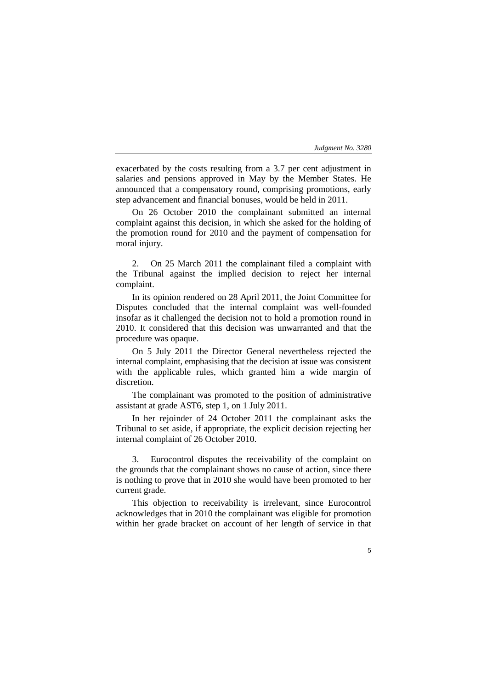exacerbated by the costs resulting from a 3.7 per cent adjustment in salaries and pensions approved in May by the Member States. He announced that a compensatory round, comprising promotions, early step advancement and financial bonuses, would be held in 2011.

On 26 October 2010 the complainant submitted an internal complaint against this decision, in which she asked for the holding of the promotion round for 2010 and the payment of compensation for moral injury.

2. On 25 March 2011 the complainant filed a complaint with the Tribunal against the implied decision to reject her internal complaint.

In its opinion rendered on 28 April 2011, the Joint Committee for Disputes concluded that the internal complaint was well-founded insofar as it challenged the decision not to hold a promotion round in 2010. It considered that this decision was unwarranted and that the procedure was opaque.

On 5 July 2011 the Director General nevertheless rejected the internal complaint, emphasising that the decision at issue was consistent with the applicable rules, which granted him a wide margin of discretion.

The complainant was promoted to the position of administrative assistant at grade AST6, step 1, on 1 July 2011.

In her rejoinder of 24 October 2011 the complainant asks the Tribunal to set aside, if appropriate, the explicit decision rejecting her internal complaint of 26 October 2010.

3. Eurocontrol disputes the receivability of the complaint on the grounds that the complainant shows no cause of action, since there is nothing to prove that in 2010 she would have been promoted to her current grade.

This objection to receivability is irrelevant, since Eurocontrol acknowledges that in 2010 the complainant was eligible for promotion within her grade bracket on account of her length of service in that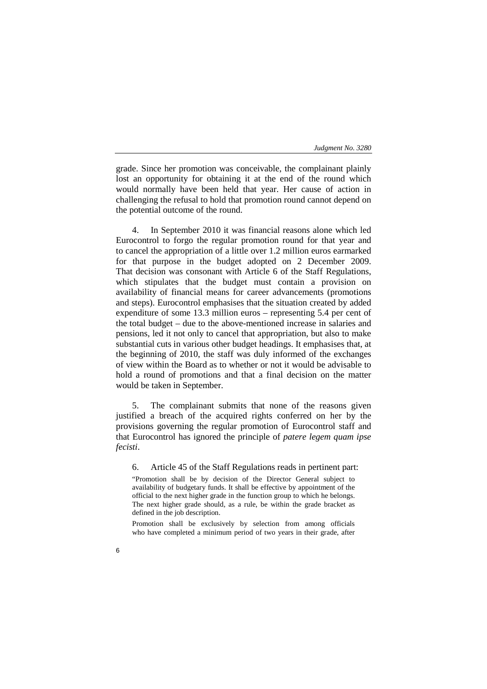grade. Since her promotion was conceivable, the complainant plainly lost an opportunity for obtaining it at the end of the round which would normally have been held that year. Her cause of action in challenging the refusal to hold that promotion round cannot depend on the potential outcome of the round.

4. In September 2010 it was financial reasons alone which led Eurocontrol to forgo the regular promotion round for that year and to cancel the appropriation of a little over 1.2 million euros earmarked for that purpose in the budget adopted on 2 December 2009. That decision was consonant with Article 6 of the Staff Regulations, which stipulates that the budget must contain a provision on availability of financial means for career advancements (promotions and steps). Eurocontrol emphasises that the situation created by added expenditure of some 13.3 million euros – representing 5.4 per cent of the total budget – due to the above-mentioned increase in salaries and pensions, led it not only to cancel that appropriation, but also to make substantial cuts in various other budget headings. It emphasises that, at the beginning of 2010, the staff was duly informed of the exchanges of view within the Board as to whether or not it would be advisable to hold a round of promotions and that a final decision on the matter would be taken in September.

5. The complainant submits that none of the reasons given justified a breach of the acquired rights conferred on her by the provisions governing the regular promotion of Eurocontrol staff and that Eurocontrol has ignored the principle of *patere legem quam ipse fecisti*.

6. Article 45 of the Staff Regulations reads in pertinent part:

"Promotion shall be by decision of the Director General subject to availability of budgetary funds. It shall be effective by appointment of the official to the next higher grade in the function group to which he belongs. The next higher grade should, as a rule, be within the grade bracket as defined in the job description.

Promotion shall be exclusively by selection from among officials who have completed a minimum period of two years in their grade, after

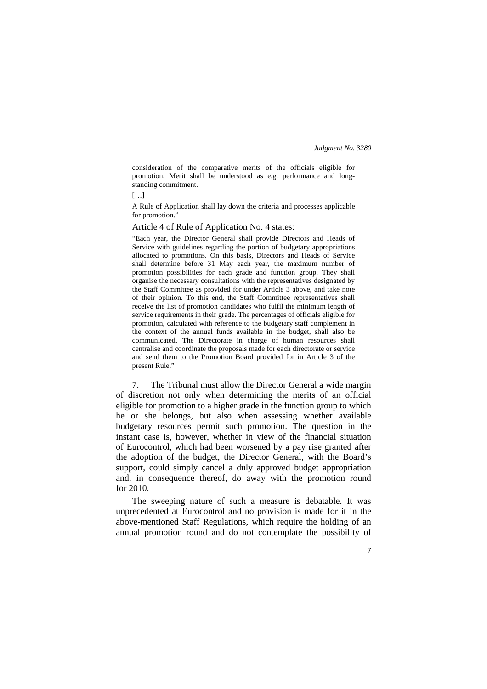consideration of the comparative merits of the officials eligible for promotion. Merit shall be understood as e.g. performance and longstanding commitment.

 $[...]$ 

A Rule of Application shall lay down the criteria and processes applicable for promotion."

Article 4 of Rule of Application No. 4 states:

"Each year, the Director General shall provide Directors and Heads of Service with guidelines regarding the portion of budgetary appropriations allocated to promotions. On this basis, Directors and Heads of Service shall determine before 31 May each year, the maximum number of promotion possibilities for each grade and function group. They shall organise the necessary consultations with the representatives designated by the Staff Committee as provided for under Article 3 above, and take note of their opinion. To this end, the Staff Committee representatives shall receive the list of promotion candidates who fulfil the minimum length of service requirements in their grade. The percentages of officials eligible for promotion, calculated with reference to the budgetary staff complement in the context of the annual funds available in the budget, shall also be communicated. The Directorate in charge of human resources shall centralise and coordinate the proposals made for each directorate or service and send them to the Promotion Board provided for in Article 3 of the present Rule."

7. The Tribunal must allow the Director General a wide margin of discretion not only when determining the merits of an official eligible for promotion to a higher grade in the function group to which he or she belongs, but also when assessing whether available budgetary resources permit such promotion. The question in the instant case is, however, whether in view of the financial situation of Eurocontrol, which had been worsened by a pay rise granted after the adoption of the budget, the Director General, with the Board's support, could simply cancel a duly approved budget appropriation and, in consequence thereof, do away with the promotion round for 2010.

The sweeping nature of such a measure is debatable. It was unprecedented at Eurocontrol and no provision is made for it in the above-mentioned Staff Regulations, which require the holding of an annual promotion round and do not contemplate the possibility of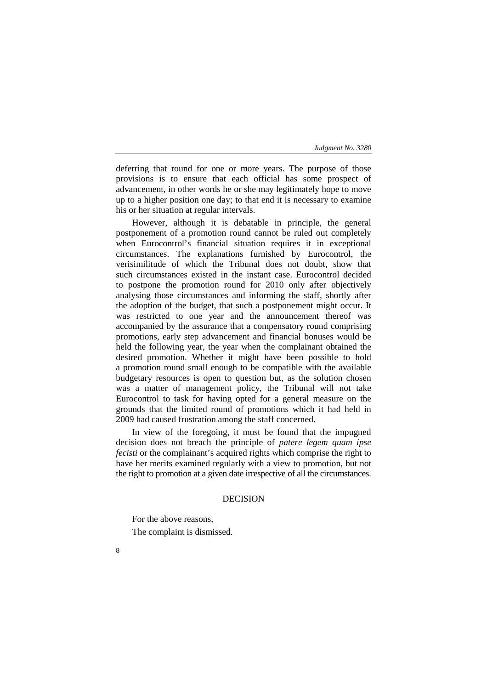deferring that round for one or more years. The purpose of those provisions is to ensure that each official has some prospect of advancement, in other words he or she may legitimately hope to move up to a higher position one day; to that end it is necessary to examine his or her situation at regular intervals.

However, although it is debatable in principle, the general postponement of a promotion round cannot be ruled out completely when Eurocontrol's financial situation requires it in exceptional circumstances. The explanations furnished by Eurocontrol, the verisimilitude of which the Tribunal does not doubt, show that such circumstances existed in the instant case. Eurocontrol decided to postpone the promotion round for 2010 only after objectively analysing those circumstances and informing the staff, shortly after the adoption of the budget, that such a postponement might occur. It was restricted to one year and the announcement thereof was accompanied by the assurance that a compensatory round comprising promotions, early step advancement and financial bonuses would be held the following year, the year when the complainant obtained the desired promotion. Whether it might have been possible to hold a promotion round small enough to be compatible with the available budgetary resources is open to question but, as the solution chosen was a matter of management policy, the Tribunal will not take Eurocontrol to task for having opted for a general measure on the grounds that the limited round of promotions which it had held in 2009 had caused frustration among the staff concerned.

In view of the foregoing, it must be found that the impugned decision does not breach the principle of *patere legem quam ipse fecisti* or the complainant's acquired rights which comprise the right to have her merits examined regularly with a view to promotion, but not the right to promotion at a given date irrespective of all the circumstances.

# DECISION

For the above reasons, The complaint is dismissed.